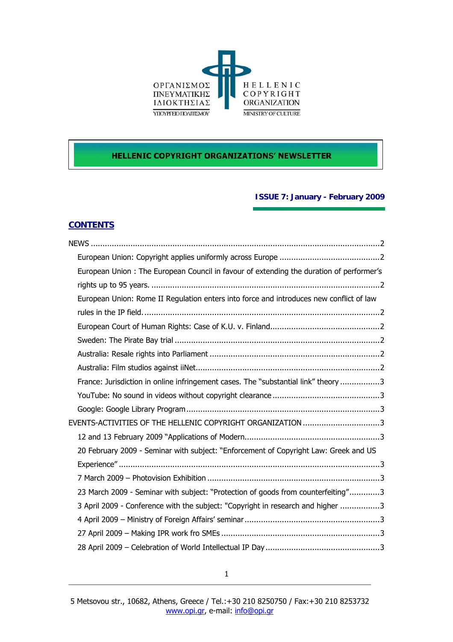

## **HELLENIC COPYRIGHT ORGANIZATIONS' NEWSLETTER**

## **ISSUE 7: January - February 2009**

## **CONTENTS**

| European Union: The European Council in favour of extending the duration of performer's |  |
|-----------------------------------------------------------------------------------------|--|
|                                                                                         |  |
| European Union: Rome II Regulation enters into force and introduces new conflict of law |  |
|                                                                                         |  |
|                                                                                         |  |
|                                                                                         |  |
|                                                                                         |  |
|                                                                                         |  |
| France: Jurisdiction in online infringement cases. The "substantial link" theory 3      |  |
|                                                                                         |  |
|                                                                                         |  |
| EVENTS-ACTIVITIES OF THE HELLENIC COPYRIGHT ORGANIZATION 3                              |  |
|                                                                                         |  |
| 20 February 2009 - Seminar with subject: "Enforcement of Copyright Law: Greek and US    |  |
|                                                                                         |  |
|                                                                                         |  |
| 23 March 2009 - Seminar with subject: "Protection of goods from counterfeiting"3        |  |
| 3 April 2009 - Conference with the subject: "Copyright in research and higher 3         |  |
|                                                                                         |  |
|                                                                                         |  |
|                                                                                         |  |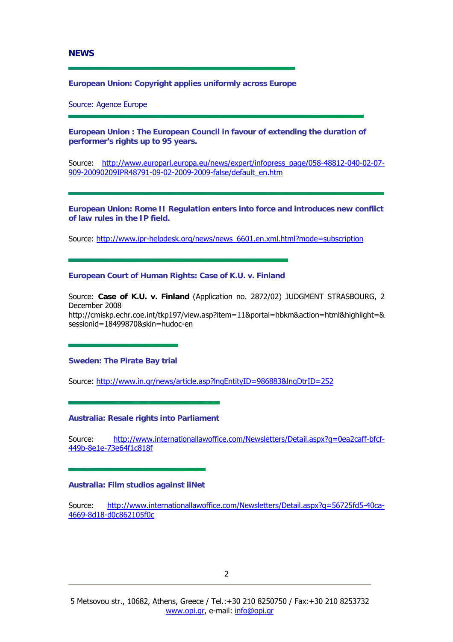<span id="page-1-0"></span>**NEWS** 

**European Union: Copyright applies uniformly across Europe** 

Source: Agence Europe

**European Union : The European Council in favour of extending the duration of performer's rights up to 95 years.** 

Source: [http://www.europarl.europa.eu/news/expert/infopress\\_page/058-48812-040-02-07-](http://www.europarl.europa.eu/news/expert/infopress_page/058-48812-040-02-07-909-20090209IPR48791-09-02-2009-2009-false/default_en.htm) [909-20090209IPR48791-09-02-2009-2009-false/default\\_en.htm](http://www.europarl.europa.eu/news/expert/infopress_page/058-48812-040-02-07-909-20090209IPR48791-09-02-2009-2009-false/default_en.htm)

**European Union: Rome II Regulation enters into force and introduces new conflict of law rules in the IP field.** 

Source: [http://www.ipr-helpdesk.org/news/news\\_6601.en.xml.html?mode=subscription](http://www.ipr-helpdesk.org/news/news_6601.en.xml.html?mode=subscription)

**European Court of Human Rights: Case of K.U. v. Finland** 

Source: **Case of K.U. v. Finland** (Application no. 2872/02) JUDGMENT STRASBOURG, 2 December 2008 http://cmiskp.echr.coe.int/tkp197/view.asp?item=11&portal=hbkm&action=html&highlight=& sessionid=18499870&skin=hudoc-en

**Sweden: The Pirate Bay trial** 

Source: <http://www.in.gr/news/article.asp?lngEntityID=986883&lngDtrID=252>

**Australia: Resale rights into Parliament** 

Source: [http://www.internationallawoffice.com/Newsletters/Detail.aspx?g=0ea2caff-bfcf-](http://www.internationallawoffice.com/Newsletters/Detail.aspx?g=0ea2caff-bfcf-449b-8e1e-73e64f1c818f)[449b-8e1e-73e64f1c818f](http://www.internationallawoffice.com/Newsletters/Detail.aspx?g=0ea2caff-bfcf-449b-8e1e-73e64f1c818f)

**Australia: Film studios against iiNet** 

Source: [http://www.internationallawoffice.com/Newsletters/Detail.aspx?g=56725fd5-40ca-](http://www.internationallawoffice.com/Newsletters/Detail.aspx?g=56725fd5-40ca-4669-8d18-d0c862105f0c)[4669-8d18-d0c862105f0c](http://www.internationallawoffice.com/Newsletters/Detail.aspx?g=56725fd5-40ca-4669-8d18-d0c862105f0c)